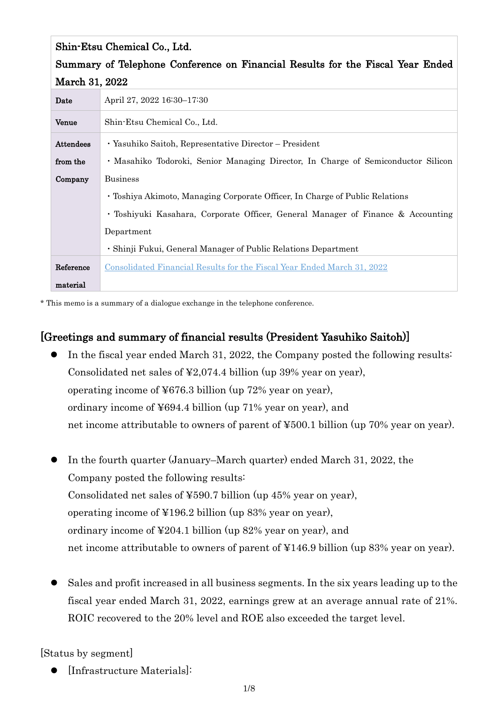| Shin-Etsu Chemical Co., Ltd.                                                   |                                                                                   |  |
|--------------------------------------------------------------------------------|-----------------------------------------------------------------------------------|--|
| Summary of Telephone Conference on Financial Results for the Fiscal Year Ended |                                                                                   |  |
| March 31, 2022                                                                 |                                                                                   |  |
| Date                                                                           | April 27, 2022 16:30-17:30                                                        |  |
| Venue                                                                          | Shin-Etsu Chemical Co., Ltd.                                                      |  |
| <b>Attendees</b>                                                               | · Yasuhiko Saitoh, Representative Director – President                            |  |
| from the                                                                       | • Masahiko Todoroki, Senior Managing Director, In Charge of Semiconductor Silicon |  |
| Company                                                                        | <b>Business</b>                                                                   |  |
|                                                                                | • Toshiya Akimoto, Managing Corporate Officer, In Charge of Public Relations      |  |
|                                                                                | • Toshiyuki Kasahara, Corporate Officer, General Manager of Finance & Accounting  |  |
|                                                                                | Department                                                                        |  |
|                                                                                | • Shinji Fukui, General Manager of Public Relations Department                    |  |
| Reference                                                                      | Consolidated Financial Results for the Fiscal Year Ended March 31, 2022           |  |
| material                                                                       |                                                                                   |  |

\* This memo is a summary of a dialogue exchange in the telephone conference.

# [Greetings and summary of financial results (President Yasuhiko Saitoh)]

- In the fiscal year ended March 31, 2022, the Company posted the following results: Consolidated net sales of ¥2,074.4 billion (up 39% year on year), operating income of ¥676.3 billion (up 72% year on year), ordinary income of ¥694.4 billion (up 71% year on year), and net income attributable to owners of parent of ¥500.1 billion (up 70% year on year).
- In the fourth quarter (January–March quarter) ended March 31, 2022, the Company posted the following results: Consolidated net sales of ¥590.7 billion (up 45% year on year), operating income of ¥196.2 billion (up 83% year on year), ordinary income of ¥204.1 billion (up 82% year on year), and net income attributable to owners of parent of ¥146.9 billion (up 83% year on year).
- Sales and profit increased in all business segments. In the six years leading up to the fiscal year ended March 31, 2022, earnings grew at an average annual rate of 21%. ROIC recovered to the 20% level and ROE also exceeded the target level.

[Status by segment]

[Infrastructure Materials]: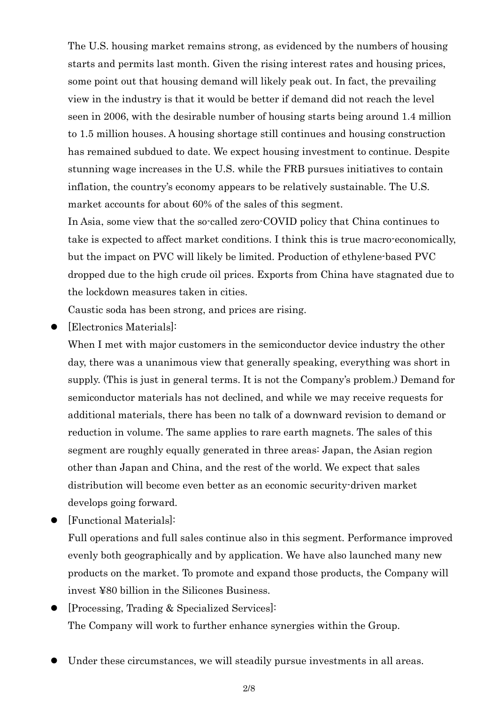The U.S. housing market remains strong, as evidenced by the numbers of housing starts and permits last month. Given the rising interest rates and housing prices, some point out that housing demand will likely peak out. In fact, the prevailing view in the industry is that it would be better if demand did not reach the level seen in 2006, with the desirable number of housing starts being around 1.4 million to 1.5 million houses. A housing shortage still continues and housing construction has remained subdued to date. We expect housing investment to continue. Despite stunning wage increases in the U.S. while the FRB pursues initiatives to contain inflation, the country's economy appears to be relatively sustainable. The U.S. market accounts for about 60% of the sales of this segment.

In Asia, some view that the so-called zero-COVID policy that China continues to take is expected to affect market conditions. I think this is true macro-economically, but the impact on PVC will likely be limited. Production of ethylene-based PVC dropped due to the high crude oil prices. Exports from China have stagnated due to the lockdown measures taken in cities.

Caustic soda has been strong, and prices are rising.

[Electronics Materials]:

When I met with major customers in the semiconductor device industry the other day, there was a unanimous view that generally speaking, everything was short in supply. (This is just in general terms. It is not the Company's problem.) Demand for semiconductor materials has not declined, and while we may receive requests for additional materials, there has been no talk of a downward revision to demand or reduction in volume. The same applies to rare earth magnets. The sales of this segment are roughly equally generated in three areas: Japan, the Asian region other than Japan and China, and the rest of the world. We expect that sales distribution will become even better as an economic security-driven market develops going forward.

[Functional Materials]:

Full operations and full sales continue also in this segment. Performance improved evenly both geographically and by application. We have also launched many new products on the market. To promote and expand those products, the Company will invest ¥80 billion in the Silicones Business.

- [Processing, Trading & Specialized Services]: The Company will work to further enhance synergies within the Group.
- Under these circumstances, we will steadily pursue investments in all areas.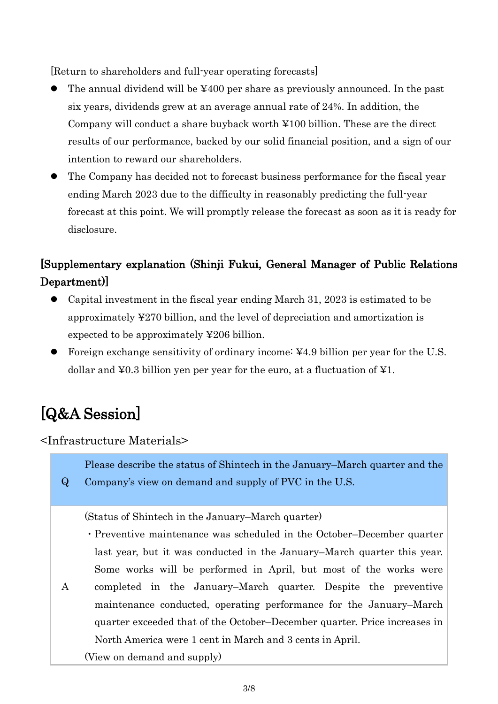[Return to shareholders and full-year operating forecasts]

- The annual dividend will be ¥400 per share as previously announced. In the past six years, dividends grew at an average annual rate of 24%. In addition, the Company will conduct a share buyback worth ¥100 billion. These are the direct results of our performance, backed by our solid financial position, and a sign of our intention to reward our shareholders.
- The Company has decided not to forecast business performance for the fiscal year ending March 2023 due to the difficulty in reasonably predicting the full-year forecast at this point. We will promptly release the forecast as soon as it is ready for disclosure.

# [Supplementary explanation (Shinji Fukui, General Manager of Public Relations Department)]

- Capital investment in the fiscal year ending March 31, 2023 is estimated to be approximately ¥270 billion, and the level of depreciation and amortization is expected to be approximately ¥206 billion.
- Foreign exchange sensitivity of ordinary income: ¥4.9 billion per year for the U.S. dollar and ¥0.3 billion yen per year for the euro, at a fluctuation of ¥1.

# [Q&A Session]

<Infrastructure Materials>

| Please describe the status of Shintech in the January–March quarter and the<br>$\bf Q$ | Company's view on demand and supply of PVC in the U.S.                                                                                                                                                                                                                                                                                                                                                                                                                                                                                                                                      |
|----------------------------------------------------------------------------------------|---------------------------------------------------------------------------------------------------------------------------------------------------------------------------------------------------------------------------------------------------------------------------------------------------------------------------------------------------------------------------------------------------------------------------------------------------------------------------------------------------------------------------------------------------------------------------------------------|
| A                                                                                      | (Status of Shintech in the January–March quarter)<br>• Preventive maintenance was scheduled in the October–December quarter<br>last year, but it was conducted in the January–March quarter this year.<br>Some works will be performed in April, but most of the works were<br>completed in the January–March quarter. Despite the preventive<br>maintenance conducted, operating performance for the January–March<br>quarter exceeded that of the October–December quarter. Price increases in<br>North America were 1 cent in March and 3 cents in April.<br>(View on demand and supply) |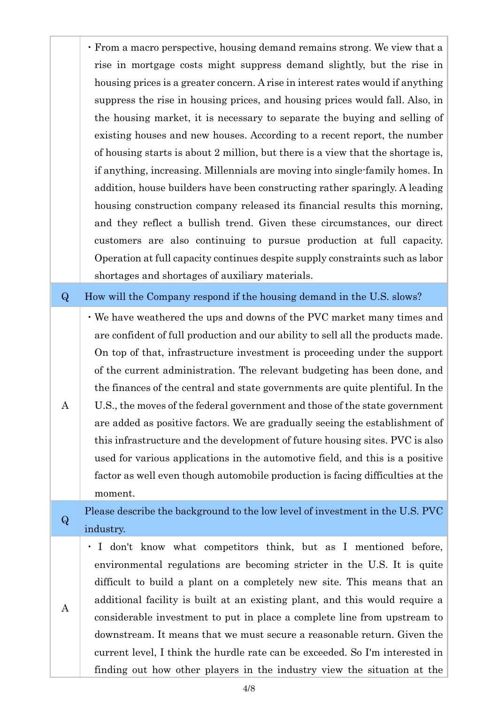・From a macro perspective, housing demand remains strong. We view that a rise in mortgage costs might suppress demand slightly, but the rise in housing prices is a greater concern. A rise in interest rates would if anything suppress the rise in housing prices, and housing prices would fall. Also, in the housing market, it is necessary to separate the buying and selling of existing houses and new houses. According to a recent report, the number of housing starts is about 2 million, but there is a view that the shortage is, if anything, increasing. Millennials are moving into single-family homes. In addition, house builders have been constructing rather sparingly. A leading housing construction company released its financial results this morning, and they reflect a bullish trend. Given these circumstances, our direct customers are also continuing to pursue production at full capacity. Operation at full capacity continues despite supply constraints such as labor shortages and shortages of auxiliary materials.

#### Q How will the Company respond if the housing demand in the U.S. slows?

・We have weathered the ups and downs of the PVC market many times and are confident of full production and our ability to sell all the products made. On top of that, infrastructure investment is proceeding under the support of the current administration. The relevant budgeting has been done, and the finances of the central and state governments are quite plentiful. In the U.S., the moves of the federal government and those of the state government are added as positive factors. We are gradually seeing the establishment of this infrastructure and the development of future housing sites. PVC is also used for various applications in the automotive field, and this is a positive factor as well even though automobile production is facing difficulties at the

moment.

A

A

<sup>Q</sup> Please describe the background to the low level of investment in the U.S. PVC industry.

・ I don't know what competitors think, but as I mentioned before, environmental regulations are becoming stricter in the U.S. It is quite difficult to build a plant on a completely new site. This means that an additional facility is built at an existing plant, and this would require a considerable investment to put in place a complete line from upstream to downstream. It means that we must secure a reasonable return. Given the current level, I think the hurdle rate can be exceeded. So I'm interested in finding out how other players in the industry view the situation at the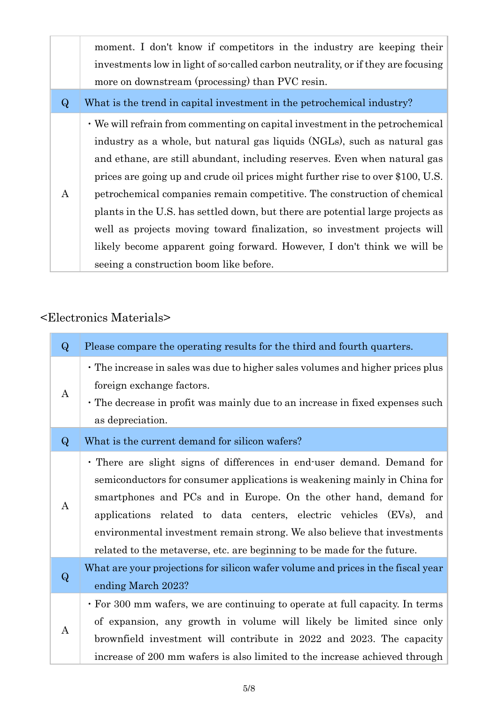moment. I don't know if competitors in the industry are keeping their investments low in light of so-called carbon neutrality, or if they are focusing more on downstream (processing) than PVC resin.

Q What is the trend in capital investment in the petrochemical industry?

A ・We will refrain from commenting on capital investment in the petrochemical industry as a whole, but natural gas liquids (NGLs), such as natural gas and ethane, are still abundant, including reserves. Even when natural gas prices are going up and crude oil prices might further rise to over \$100, U.S. petrochemical companies remain competitive. The construction of chemical plants in the U.S. has settled down, but there are potential large projects as well as projects moving toward finalization, so investment projects will likely become apparent going forward. However, I don't think we will be seeing a construction boom like before.

# <Electronics Materials>

| $\bf{Q}$ | Please compare the operating results for the third and fourth quarters.                                                                                                                                                                                                                                                                                                                                                                              |
|----------|------------------------------------------------------------------------------------------------------------------------------------------------------------------------------------------------------------------------------------------------------------------------------------------------------------------------------------------------------------------------------------------------------------------------------------------------------|
| A        | • The increase in sales was due to higher sales volumes and higher prices plus<br>foreign exchange factors.<br>• The decrease in profit was mainly due to an increase in fixed expenses such<br>as depreciation.                                                                                                                                                                                                                                     |
| $\bf{Q}$ | What is the current demand for silicon wafers?                                                                                                                                                                                                                                                                                                                                                                                                       |
| A        | . There are slight signs of differences in end-user demand. Demand for<br>semiconductors for consumer applications is weakening mainly in China for<br>smartphones and PCs and in Europe. On the other hand, demand for<br>applications related to data centers, electric vehicles (EVs), and<br>environmental investment remain strong. We also believe that investments<br>related to the metaverse, etc. are beginning to be made for the future. |
| $\bf Q$  | What are your projections for silicon wafer volume and prices in the fiscal year<br>ending March 2023?                                                                                                                                                                                                                                                                                                                                               |
| A        | • For 300 mm wafers, we are continuing to operate at full capacity. In terms<br>of expansion, any growth in volume will likely be limited since only<br>brownfield investment will contribute in 2022 and 2023. The capacity<br>increase of 200 mm wafers is also limited to the increase achieved through                                                                                                                                           |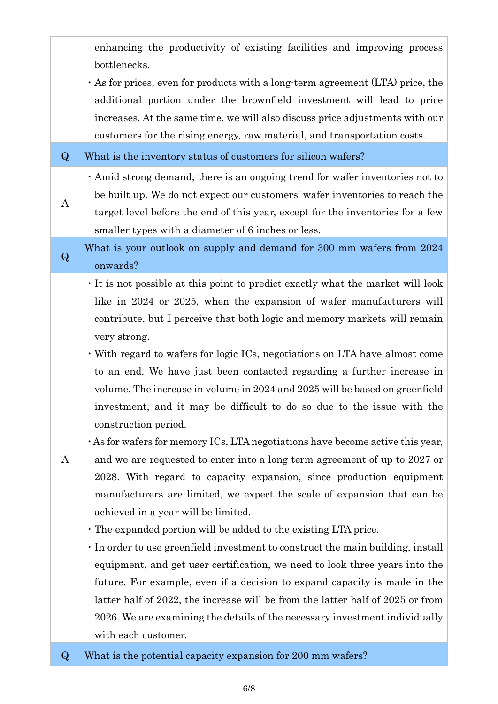|          | enhancing the productivity of existing facilities and improving process<br>bottlenecks.<br>$\cdot$ As for prices, even for products with a long-term agreement (LTA) price, the<br>additional portion under the brownfield investment will lead to price<br>increases. At the same time, we will also discuss price adjustments with our<br>customers for the rising energy, raw material, and transportation costs.                                                                                                                                                                                                                                                                                                                                                                                                                                                                                                                                                                                                                                                                                                                                                                                                                                                                                                                                                                                                                                               |
|----------|--------------------------------------------------------------------------------------------------------------------------------------------------------------------------------------------------------------------------------------------------------------------------------------------------------------------------------------------------------------------------------------------------------------------------------------------------------------------------------------------------------------------------------------------------------------------------------------------------------------------------------------------------------------------------------------------------------------------------------------------------------------------------------------------------------------------------------------------------------------------------------------------------------------------------------------------------------------------------------------------------------------------------------------------------------------------------------------------------------------------------------------------------------------------------------------------------------------------------------------------------------------------------------------------------------------------------------------------------------------------------------------------------------------------------------------------------------------------|
| $\bf{Q}$ | What is the inventory status of customers for silicon wafers?                                                                                                                                                                                                                                                                                                                                                                                                                                                                                                                                                                                                                                                                                                                                                                                                                                                                                                                                                                                                                                                                                                                                                                                                                                                                                                                                                                                                      |
| $\bf{A}$ | . Amid strong demand, there is an ongoing trend for wafer inventories not to<br>be built up. We do not expect our customers' wafer inventories to reach the<br>target level before the end of this year, except for the inventories for a few<br>smaller types with a diameter of 6 inches or less.                                                                                                                                                                                                                                                                                                                                                                                                                                                                                                                                                                                                                                                                                                                                                                                                                                                                                                                                                                                                                                                                                                                                                                |
| $\bf Q$  | What is your outlook on supply and demand for 300 mm wafers from 2024<br>onwards?                                                                                                                                                                                                                                                                                                                                                                                                                                                                                                                                                                                                                                                                                                                                                                                                                                                                                                                                                                                                                                                                                                                                                                                                                                                                                                                                                                                  |
| A        | It is not possible at this point to predict exactly what the market will look<br>like in 2024 or 2025, when the expansion of wafer manufacturers will<br>contribute, but I perceive that both logic and memory markets will remain<br>very strong.<br>• With regard to wafers for logic ICs, negotiations on LTA have almost come<br>to an end. We have just been contacted regarding a further increase in<br>volume. The increase in volume in 2024 and 2025 will be based on greenfield<br>investment, and it may be difficult to do so due to the issue with the<br>construction period.<br>$\cdot$ As for wafers for memory ICs, LTA negotiations have become active this year,<br>and we are requested to enter into a long-term agreement of up to 2027 or<br>2028. With regard to capacity expansion, since production equipment<br>manufacturers are limited, we expect the scale of expansion that can be<br>achieved in a year will be limited.<br>• The expanded portion will be added to the existing LTA price.<br>In order to use greenfield investment to construct the main building, install<br>equipment, and get user certification, we need to look three years into the<br>future. For example, even if a decision to expand capacity is made in the<br>latter half of 2022, the increase will be from the latter half of 2025 or from<br>2026. We are examining the details of the necessary investment individually<br>with each customer. |
| $\bf{Q}$ | What is the potential capacity expansion for 200 mm wafers?                                                                                                                                                                                                                                                                                                                                                                                                                                                                                                                                                                                                                                                                                                                                                                                                                                                                                                                                                                                                                                                                                                                                                                                                                                                                                                                                                                                                        |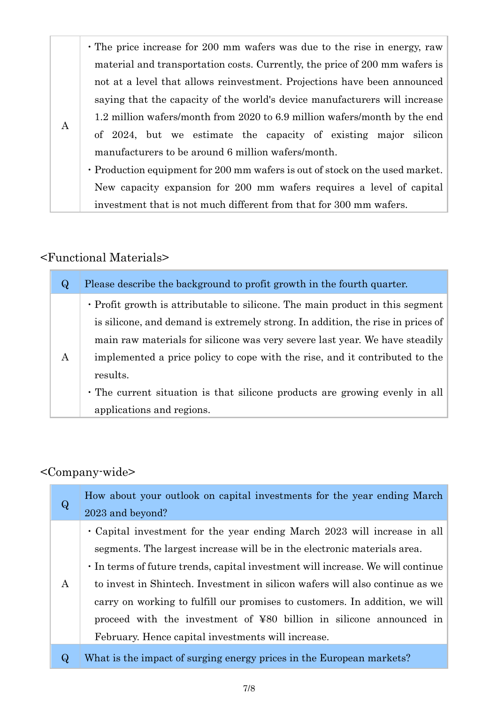・The price increase for 200 mm wafers was due to the rise in energy, raw material and transportation costs. Currently, the price of 200 mm wafers is not at a level that allows reinvestment. Projections have been announced saying that the capacity of the world's device manufacturers will increase 1.2 million wafers/month from 2020 to 6.9 million wafers/month by the end of 2024, but we estimate the capacity of existing major silicon manufacturers to be around 6 million wafers/month.

・Production equipment for 200 mm wafers is out of stock on the used market. New capacity expansion for 200 mm wafers requires a level of capital investment that is not much different from that for 300 mm wafers.

### <Functional Materials>

A

| $\bf Q$ | Please describe the background to profit growth in the fourth quarter.                                                                                                                                                                                                                                                                                                                                                                                 |
|---------|--------------------------------------------------------------------------------------------------------------------------------------------------------------------------------------------------------------------------------------------------------------------------------------------------------------------------------------------------------------------------------------------------------------------------------------------------------|
| A       | • Profit growth is attributable to silicone. The main product in this segment<br>is silicone, and demand is extremely strong. In addition, the rise in prices of<br>main raw materials for silicone was very severe last year. We have steadily<br>implemented a price policy to cope with the rise, and it contributed to the<br>results.<br>· The current situation is that silicone products are growing evenly in all<br>applications and regions. |

## <Company-wide>

| $\bf Q$ | How about your outlook on capital investments for the year ending March<br>2023 and beyond?                                                                                                                                                                                                                                                                                                                                                                                                                                       |
|---------|-----------------------------------------------------------------------------------------------------------------------------------------------------------------------------------------------------------------------------------------------------------------------------------------------------------------------------------------------------------------------------------------------------------------------------------------------------------------------------------------------------------------------------------|
| A       | • Capital investment for the year ending March 2023 will increase in all<br>segments. The largest increase will be in the electronic materials area.<br>In terms of future trends, capital investment will increase. We will continue<br>to invest in Shintech. Investment in silicon wafers will also continue as we<br>carry on working to fulfill our promises to customers. In addition, we will<br>proceed with the investment of ¥80 billion in silicone announced in<br>February. Hence capital investments will increase. |
| Q       | What is the impact of surging energy prices in the European markets?                                                                                                                                                                                                                                                                                                                                                                                                                                                              |